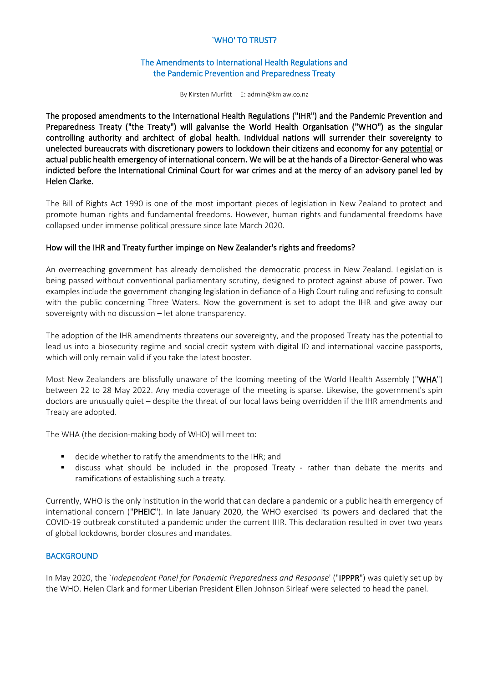## `WHO' TO TRUST?

### The Amendments to International Health Regulations and the Pandemic Prevention and Preparedness Treaty

By Kirsten Murfitt E: admin@kmlaw.co.nz

The proposed amendments to the International Health Regulations ("IHR") and the Pandemic Prevention and Preparedness Treaty ("the Treaty") will galvanise the World Health Organisation ("WHO") as the singular controlling authority and architect of global health. Individual nations will surrender their sovereignty to unelected bureaucrats with discretionary powers to lockdown their citizens and economy for any potential or actual public health emergency of international concern. We will be at the hands of a Director-General who was indicted before the International Criminal Court for war crimes and at the mercy of an advisory panel led by Helen Clarke.

The Bill of Rights Act 1990 is one of the most important pieces of legislation in New Zealand to protect and promote human rights and fundamental freedoms. However, human rights and fundamental freedoms have collapsed under immense political pressure since late March 2020.

### How will the IHR and Treaty further impinge on New Zealander's rights and freedoms?

An overreaching government has already demolished the democratic process in New Zealand. Legislation is being passed without conventional parliamentary scrutiny, designed to protect against abuse of power. Two examples include the government changing legislation in defiance of a High Court ruling and refusing to consult with the public concerning Three Waters. Now the government is set to adopt the IHR and give away our sovereignty with no discussion – let alone transparency.

The adoption of the IHR amendments threatens our sovereignty, and the proposed Treaty has the potential to lead us into a biosecurity regime and social credit system with digital ID and international vaccine passports, which will only remain valid if you take the latest booster.

Most New Zealanders are blissfully unaware of the looming meeting of the World Health Assembly ("WHA") between 22 to 28 May 2022. Any media coverage of the meeting is sparse. Likewise, the government's spin doctors are unusually quiet – despite the threat of our local laws being overridden if the IHR amendments and Treaty are adopted.

The WHA (the decision-making body of WHO) will meet to:

- decide whether to ratify the amendments to the IHR; and
- discuss what should be included in the proposed Treaty rather than debate the merits and ramifications of establishing such a treaty.

Currently, WHO is the only institution in the world that can declare a pandemic or a public health emergency of international concern ("PHEIC"). In late January 2020, the WHO exercised its powers and declared that the COVID-19 outbreak constituted a pandemic under the current IHR. This declaration resulted in over two years of global lockdowns, border closures and mandates.

#### **BACKGROUND**

In May 2020, the `*Independent Panel for Pandemic Preparedness and Response*' ("IPPPR") was quietly set up by the WHO. Helen Clark and former Liberian President Ellen Johnson Sirleaf were selected to head the panel.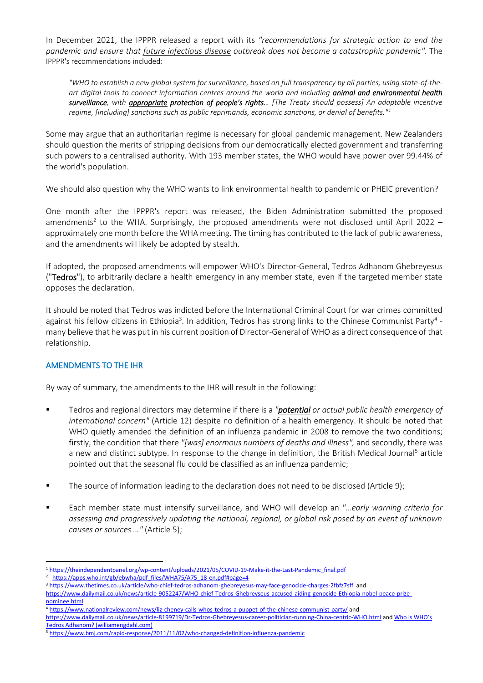In December 2021, the IPPPR released a report with its *"recommendations for strategic action to end the pandemic and ensure that future infectious disease outbreak does not become a catastrophic pandemic"*. The IPPPR's recommendations included:

*"WHO to establish a new global system for surveillance, based on full transparency by all parties, using state-of-theart digital tools to connect information centres around the world and including animal and environmental health surveillance, with appropriate protection of people's rights… [The Treaty should possess] An adaptable incentive regime, [including] sanctions such as public reprimands, economic sanctions, or denial of benefits." 1*

Some may argue that an authoritarian regime is necessary for global pandemic management. New Zealanders should question the merits of stripping decisions from our democratically elected government and transferring such powers to a centralised authority. With 193 member states, the WHO would have power over 99.44% of the world's population.

We should also question why the WHO wants to link environmental health to pandemic or PHEIC prevention?

One month after the IPPPR's report was released, the Biden Administration submitted the proposed amendments<sup>2</sup> to the WHA. Surprisingly, the proposed amendments were not disclosed until April 2022 approximately one month before the WHA meeting. The timing has contributed to the lack of public awareness, and the amendments will likely be adopted by stealth.

If adopted, the proposed amendments will empower WHO's Director-General, Tedros Adhanom Ghebreyesus ("Tedros"), to arbitrarily declare a health emergency in any member state, even if the targeted member state opposes the declaration.

It should be noted that Tedros was indicted before the International Criminal Court for war crimes committed against his fellow citizens in Ethiopia<sup>3</sup>. In addition, Tedros has strong links to the Chinese Communist Party<sup>4</sup> many believe that he was put in his current position of Director-General of WHO as a direct consequence of that relationship.

## AMENDMENTS TO THE IHR

By way of summary, the amendments to the IHR will result in the following:

- Tedros and regional directors may determine if there is a *"potential or actual public health emergency of international concern"* (Article 12) despite no definition of a health emergency. It should be noted that WHO quietly amended the definition of an influenza pandemic in 2008 to remove the two conditions; firstly, the condition that there *"[was] enormous numbers of deaths and illness",* and secondly, there was a new and distinct subtype. In response to the change in definition, the British Medical Journal<sup>5</sup> article pointed out that the seasonal flu could be classified as an influenza pandemic;
- The source of information leading to the declaration does not need to be disclosed (Article 9);
- Each member state must intensify surveillance, and WHO will develop an *"…early warning criteria for assessing and progressively updating the national, regional, or global risk posed by an event of unknown causes or sources …"* (Article 5);

<sup>1</sup> [https://theindependentpanel.org/wp-content/uploads/2021/05/COVID-19-Make-it-the-Last-Pandemic\\_final.pdf](https://theindependentpanel.org/wp-content/uploads/2021/05/COVID-19-Make-it-the-Last-Pandemic_final.pdf)

<sup>&</sup>lt;sup>2</sup> [https://apps.who.int/gb/ebwha/pdf\\_files/WHA75/A75\\_18-en.pdf#page=4](https://apps.who.int/gb/ebwha/pdf_files/WHA75/A75_18-en.pdf#page=4)

<sup>&</sup>lt;sup>3</sup> <https://www.thetimes.co.uk/article/who-chief-tedros-adhanom-ghebreyesus-may-face-genocide-charges-2fbfz7sff>and [https://www.dailymail.co.uk/news/article-9052247/WHO-chief-Tedros-Ghebreyseus-accused-aiding-genocide-Ethiopia-nobel-peace-prize](https://www.dailymail.co.uk/news/article-9052247/WHO-chief-Tedros-Ghebreyseus-accused-aiding-genocide-Ethiopia-nobel-peace-prize-nominee.html)[nominee.html](https://www.dailymail.co.uk/news/article-9052247/WHO-chief-Tedros-Ghebreyseus-accused-aiding-genocide-Ethiopia-nobel-peace-prize-nominee.html)

<sup>4</sup> <https://www.nationalreview.com/news/liz-cheney-calls-whos-tedros-a-puppet-of-the-chinese-communist-party/> and

<https://www.dailymail.co.uk/news/article-8199719/Dr-Tedros-Ghebreyesus-career-politician-running-China-centric-WHO.html> and [Who is WHO's](http://www.williamengdahl.com/englishNEO18Feb2020.php)  [Tedros Adhanom? \(williamengdahl.com\)](http://www.williamengdahl.com/englishNEO18Feb2020.php)

<sup>5</sup> <https://www.bmj.com/rapid-response/2011/11/02/who-changed-definition-influenza-pandemic>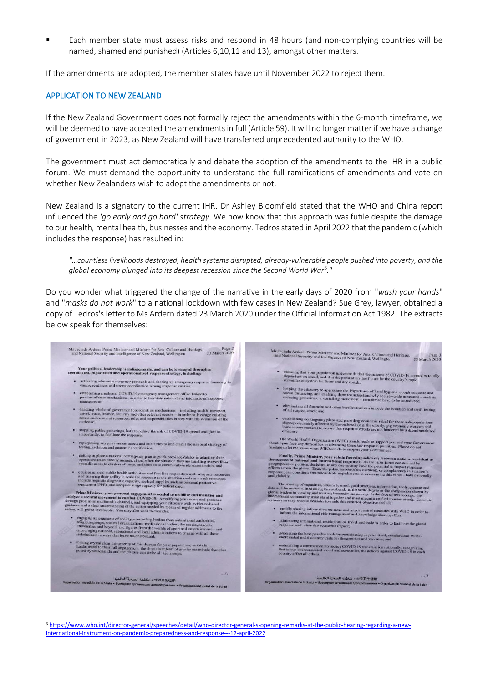Each member state must assess risks and respond in 48 hours (and non-complying countries will be named, shamed and punished) (Articles 6,10,11 and 13), amongst other matters.

If the amendments are adopted, the member states have until November 2022 to reject them.

#### APPLICATION TO NEW ZEALAND

If the New Zealand Government does not formally reject the amendments within the 6-month timeframe, we will be deemed to have accepted the amendments in full (Article 59). It will no longer matter if we have a change of government in 2023, as New Zealand will have transferred unprecedented authority to the WHO.

The government must act democratically and debate the adoption of the amendments to the IHR in a public forum. We must demand the opportunity to understand the full ramifications of amendments and vote on whether New Zealanders wish to adopt the amendments or not.

New Zealand is a signatory to the current IHR. Dr Ashley Bloomfield stated that the WHO and China report influenced the *'go early and go hard' strategy*. We now know that this approach was futile despite the damage to our health, mental health, businesses and the economy. Tedros stated in April 2022 that the pandemic (which includes the response) has resulted in:

*"…countless livelihoods destroyed, health systems disrupted, already-vulnerable people pushed into poverty, and the global economy plunged into its deepest recession since the Second World War*<sup>6</sup> *."* 

Do you wonder what triggered the change of the narrative in the early days of 2020 from "*wash your hands*" and "*masks do not work*" to a national lockdown with few cases in New Zealand? Sue Grey, lawyer, obtained a copy of Tedros's letter to Ms Ardern dated 23 March 2020 under the Official Information Act 1982. The extracts below speak for themselves:



<sup>6</sup> [https://www.who.int/director-general/speeches/detail/who-director-general-s-opening-remarks-at-the-public-hearing-regarding-a-new](https://www.who.int/director-general/speeches/detail/who-director-general-s-opening-remarks-at-the-public-hearing-regarding-a-new-international-instrument-on-pandemic-preparedness-and-response---12-april-2022)[international-instrument-on-pandemic-preparedness-and-response---12-april-2022](https://www.who.int/director-general/speeches/detail/who-director-general-s-opening-remarks-at-the-public-hearing-regarding-a-new-international-instrument-on-pandemic-preparedness-and-response---12-april-2022)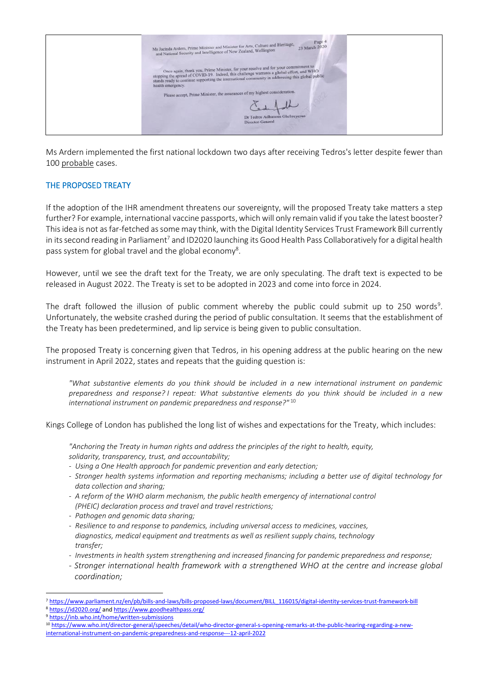

Ms Ardern implemented the first national lockdown two days after receiving Tedros's letter despite fewer than 100 probable cases.

### THE PROPOSED TREATY

If the adoption of the IHR amendment threatens our sovereignty, will the proposed Treaty take matters a step further? For example, international vaccine passports, which will only remain valid if you take the latest booster? This idea is not as far-fetched as some may think, with the Digital Identity Services Trust Framework Bill currently in its second reading in Parliament<sup>7</sup> and ID2020 launching its Good Health Pass Collaboratively for a digital health pass system for global travel and the global economy<sup>8</sup>.

However, until we see the draft text for the Treaty, we are only speculating. The draft text is expected to be released in August 2022. The Treaty is set to be adopted in 2023 and come into force in 2024.

The draft followed the illusion of public comment whereby the public could submit up to 250 words<sup>9</sup>. Unfortunately, the website crashed during the period of public consultation. It seems that the establishment of the Treaty has been predetermined, and lip service is being given to public consultation.

The proposed Treaty is concerning given that Tedros, in his opening address at the public hearing on the new instrument in April 2022, states and repeats that the guiding question is:

*"What substantive elements do you think should be included in a new international instrument on pandemic preparedness and response? I repeat: What substantive elements do you think should be included in a new international instrument on pandemic preparedness and response?"* 10

Kings College of London has published the long list of wishes and expectations for the Treaty, which includes:

*"Anchoring the Treaty in human rights and address the principles of the right to health, equity, solidarity, transparency, trust, and accountability;*

- *- Using a One Health approach for pandemic prevention and early detection;*
- *- Stronger health systems information and reporting mechanisms; including a better use of digital technology for data collection and sharing;*
- *- A reform of the WHO alarm mechanism, the public health emergency of international control (PHEIC) declaration process and travel and travel restrictions;*
- *- Pathogen and genomic data sharing;*
- *- Resilience to and response to pandemics, including universal access to medicines, vaccines, diagnostics, medical equipment and treatments as well as resilient supply chains, technology transfer;*
- *- Investments in health system strengthening and increased financing for pandemic preparedness and response;*
- *- Stronger international health framework with a strengthened WHO at the centre and increase global coordination;*

<sup>8</sup> <https://id2020.org/> an[d https://www.goodhealthpass.org/](https://www.goodhealthpass.org/)

<sup>7</sup> [https://www.parliament.nz/en/pb/bills-and-laws/bills-proposed-laws/document/BILL\\_116015/digital-identity-services-trust-framework-bill](https://www.parliament.nz/en/pb/bills-and-laws/bills-proposed-laws/document/BILL_116015/digital-identity-services-trust-framework-bill)

<sup>9</sup> <https://inb.who.int/home/written-submissions>

<sup>10</sup> [https://www.who.int/director-general/speeches/detail/who-director-general-s-opening-remarks-at-the-public-hearing-regarding-a-new](https://www.who.int/director-general/speeches/detail/who-director-general-s-opening-remarks-at-the-public-hearing-regarding-a-new-international-instrument-on-pandemic-preparedness-and-response---12-april-2022)[international-instrument-on-pandemic-preparedness-and-response---12-april-2022](https://www.who.int/director-general/speeches/detail/who-director-general-s-opening-remarks-at-the-public-hearing-regarding-a-new-international-instrument-on-pandemic-preparedness-and-response---12-april-2022)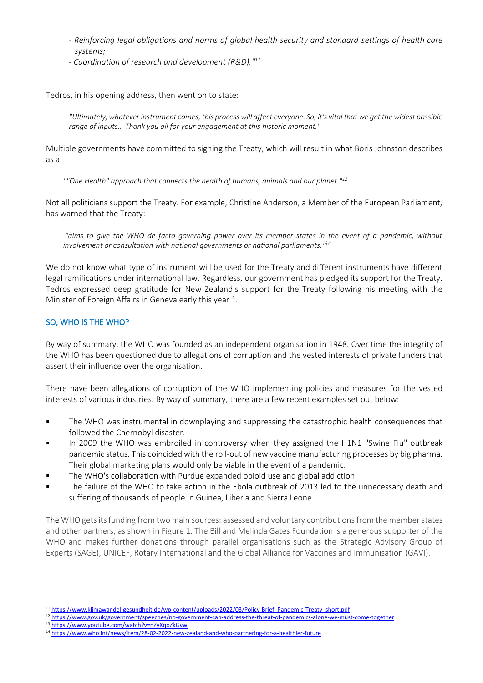- *- Reinforcing legal obligations and norms of global health security and standard settings of health care systems;*
- *- Coordination of research and development (R&D)." 11*

Tedros, in his opening address, then went on to state:

*"Ultimately, whatever instrument comes, this process will affect everyone. So, it's vital that we get the widest possible range of inputs… Thank you all for your engagement at this historic moment."*

Multiple governments have committed to signing the Treaty, which will result in what Boris Johnston describes as a:

*""One Health" approach that connects the health of humans, animals and our planet." 12*

Not all politicians support the Treaty. For example, Christine Anderson, a Member of the European Parliament, has warned that the Treaty:

*"aims to give the WHO de facto governing power over its member states in the event of a pandemic, without involvement or consultation with national governments or national parliaments.<sup>13</sup> "*

We do not know what type of instrument will be used for the Treaty and different instruments have different legal ramifications under international law. Regardless, our government has pledged its support for the Treaty. Tedros expressed deep gratitude for New Zealand's support for the Treaty following his meeting with the Minister of Foreign Affairs in Geneva early this year<sup>14</sup>.

# SO, WHO IS THE WHO?

By way of summary, the WHO was founded as an independent organisation in 1948. Over time the integrity of the WHO has been questioned due to allegations of corruption and the vested interests of private funders that assert their influence over the organisation.

There have been allegations of corruption of the WHO implementing policies and measures for the vested interests of various industries. By way of summary, there are a few recent examples set out below:

- The WHO was instrumental in downplaying and suppressing the catastrophic health consequences that followed the Chernobyl disaster.
- In 2009 the WHO was embroiled in controversy when they assigned the H1N1 "Swine Flu" outbreak pandemic status. This coincided with the roll-out of new vaccine manufacturing processes by big pharma. Their global marketing plans would only be viable in the event of a pandemic.
- The WHO's collaboration with Purdue expanded opioid use and global addiction.
- The failure of the WHO to take action in the Ebola outbreak of 2013 led to the unnecessary death and suffering of thousands of people in Guinea, Liberia and Sierra Leone.

The WHO gets its funding from two main sources: assessed and voluntary contributions from the member states and other partners, as shown in Figure 1. The Bill and Melinda Gates Foundation is a generous supporter of the WHO and makes further donations through parallel organisations such as the Strategic Advisory Group of Experts (SAGE), UNICEF, Rotary International and the Global Alliance for Vaccines and Immunisation (GAVI).

<sup>11</sup> [https://www.klimawandel-gesundheit.de/wp-content/uploads/2022/03/Policy-Brief\\_Pandemic-Treaty\\_short.pdf](https://www.klimawandel-gesundheit.de/wp-content/uploads/2022/03/Policy-Brief_Pandemic-Treaty_short.pdf)

<sup>12</sup> <https://www.gov.uk/government/speeches/no-government-can-address-the-threat-of-pandemics-alone-we-must-come-together>

<sup>13</sup> <https://www.youtube.com/watch?v=nZyXqoZkGvw>

<sup>14</sup> <https://www.who.int/news/item/28-02-2022-new-zealand-and-who-partnering-for-a-healthier-future>